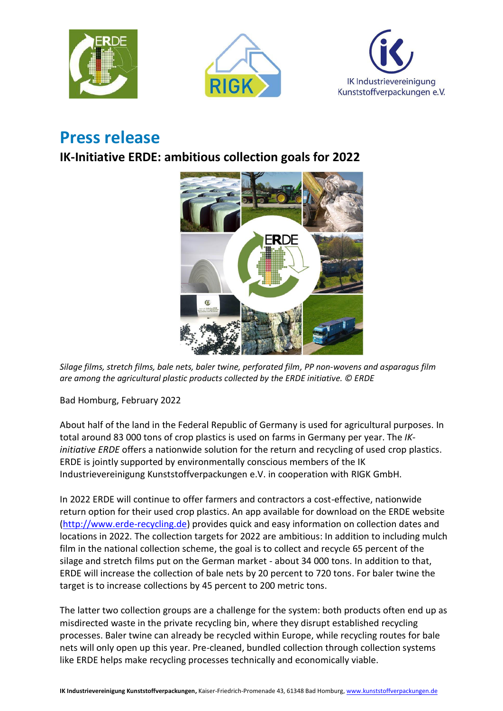





## **Press release**

## **IK-Initiative ERDE: ambitious collection goals for 2022**



*Silage films, stretch films, bale nets, baler twine, perforated film, PP non-wovens and asparagus film are among the agricultural plastic products collected by the ERDE initiative. © ERDE*

Bad Homburg, February 2022

About half of the land in the Federal Republic of Germany is used for agricultural purposes. In total around 83 000 tons of crop plastics is used on farms in Germany per year. The *IKinitiative ERDE* offers a nationwide solution for the return and recycling of used crop plastics. ERDE is jointly supported by environmentally conscious members of the IK Industrievereinigung Kunststoffverpackungen e.V. in cooperation with RIGK GmbH.

In 2022 ERDE will continue to offer farmers and contractors a cost-effective, nationwide return option for their used crop plastics. An app available for download on the ERDE website [\(http://www.erde-recycling.de\)](http://www.erde-recycling.de/) provides quick and easy information on collection dates and locations in 2022. The collection targets for 2022 are ambitious: In addition to including mulch film in the national collection scheme, the goal is to collect and recycle 65 percent of the silage and stretch films put on the German market - about 34 000 tons. In addition to that, ERDE will increase the collection of bale nets by 20 percent to 720 tons. For baler twine the target is to increase collections by 45 percent to 200 metric tons.

The latter two collection groups are a challenge for the system: both products often end up as misdirected waste in the private recycling bin, where they disrupt established recycling processes. Baler twine can already be recycled within Europe, while recycling routes for bale nets will only open up this year. Pre-cleaned, bundled collection through collection systems like ERDE helps make recycling processes technically and economically viable.